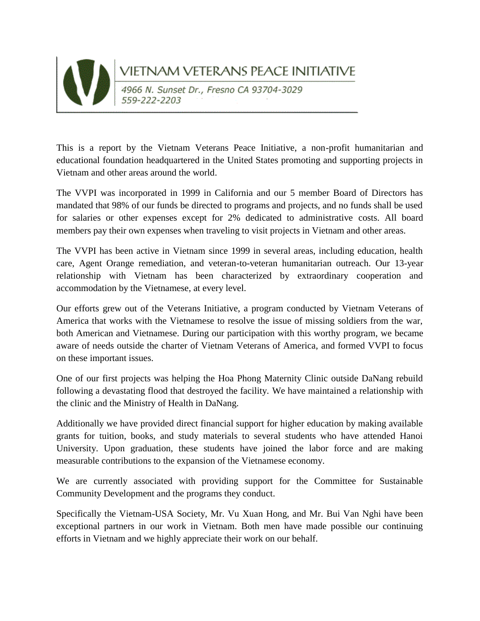

## VIETNAM VETERANS PEACE INITIATIVE<br>4966 N. Sunset Dr., Fresno CA 93704-3029

This is a report by the Vietnam Veterans Peace Initiative, a non-profit humanitarian and educational foundation headquartered in the United States promoting and supporting projects in Vietnam and other areas around the world.

The VVPI was incorporated in 1999 in California and our 5 member Board of Directors has mandated that 98% of our funds be directed to programs and projects, and no funds shall be used for salaries or other expenses except for 2% dedicated to administrative costs. All board members pay their own expenses when traveling to visit projects in Vietnam and other areas.

The VVPI has been active in Vietnam since 1999 in several areas, including education, health care, Agent Orange remediation, and veteran-to-veteran humanitarian outreach. Our 13-year relationship with Vietnam has been characterized by extraordinary cooperation and accommodation by the Vietnamese, at every level.

Our efforts grew out of the Veterans Initiative, a program conducted by Vietnam Veterans of America that works with the Vietnamese to resolve the issue of missing soldiers from the war, both American and Vietnamese. During our participation with this worthy program, we became aware of needs outside the charter of Vietnam Veterans of America, and formed VVPI to focus on these important issues.

One of our first projects was helping the Hoa Phong Maternity Clinic outside DaNang rebuild following a devastating flood that destroyed the facility. We have maintained a relationship with the clinic and the Ministry of Health in DaNang.

Additionally we have provided direct financial support for higher education by making available grants for tuition, books, and study materials to several students who have attended Hanoi University. Upon graduation, these students have joined the labor force and are making measurable contributions to the expansion of the Vietnamese economy.

We are currently associated with providing support for the Committee for Sustainable Community Development and the programs they conduct.

Specifically the Vietnam-USA Society, Mr. Vu Xuan Hong, and Mr. Bui Van Nghi have been exceptional partners in our work in Vietnam. Both men have made possible our continuing efforts in Vietnam and we highly appreciate their work on our behalf.